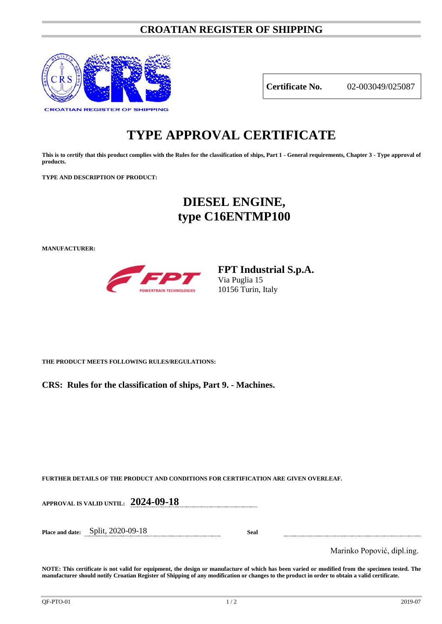### **CROATIAN REGISTER OF SHIPPING**



**Certificate No.** 02-003049/025087

# **TYPE APPROVAL CERTIFICATE**

**This is to certify that this product complies with the Rules for the classification of ships, Part 1 - General requirements, Chapter 3 - Type approval of products.**

**TYPE AND DESCRIPTION OF PRODUCT:** 

## **DIESEL ENGINE, type C16ENTMP100**

**MANUFACTURER:**



**FPT Industrial S.p.A.** Via Puglia 15 10156 Turin, Italy

**THE PRODUCT MEETS FOLLOWING RULES/REGULATIONS:**

**CRS: Rules for the classification of ships, Part 9. - Machines.**

**FURTHER DETAILS OF THE PRODUCT AND CONDITIONS FOR CERTIFICATION ARE GIVEN OVERLEAF.**

**APPROVAL IS VALID UNTIL: 2024-09-18**

**Place and date:** Split, 2020-09-18 **Seal**

Marinko Popović, dipl.ing.

**NOTE: This certificate is not valid for equipment, the design or manufacture of which has been varied or modified from the specimen tested. The manufacturer should notify Croatian Register of Shipping of any modification or changes to the product in order to obtain a valid certificate.**